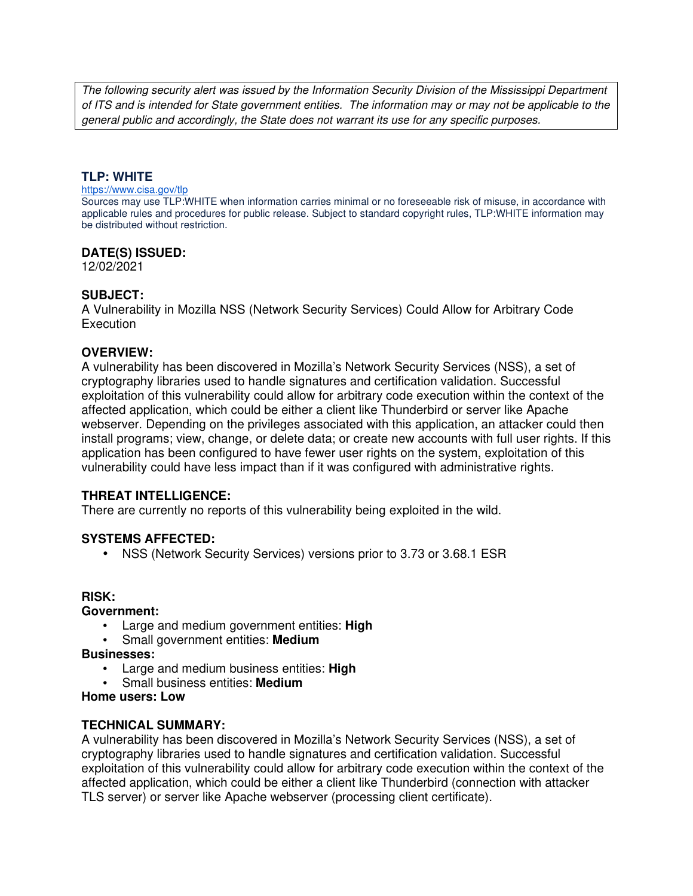The following security alert was issued by the Information Security Division of the Mississippi Department of ITS and is intended for State government entities. The information may or may not be applicable to the general public and accordingly, the State does not warrant its use for any specific purposes.

## **TLP: WHITE**

#### https://www.cisa.gov/tlp

Sources may use TLP:WHITE when information carries minimal or no foreseeable risk of misuse, in accordance with applicable rules and procedures for public release. Subject to standard copyright rules, TLP:WHITE information may be distributed without restriction.

### **DATE(S) ISSUED:**

12/02/2021

## **SUBJECT:**

A Vulnerability in Mozilla NSS (Network Security Services) Could Allow for Arbitrary Code **Execution** 

### **OVERVIEW:**

A vulnerability has been discovered in Mozilla's Network Security Services (NSS), a set of cryptography libraries used to handle signatures and certification validation. Successful exploitation of this vulnerability could allow for arbitrary code execution within the context of the affected application, which could be either a client like Thunderbird or server like Apache webserver. Depending on the privileges associated with this application, an attacker could then install programs; view, change, or delete data; or create new accounts with full user rights. If this application has been configured to have fewer user rights on the system, exploitation of this vulnerability could have less impact than if it was configured with administrative rights.

### **THREAT INTELLIGENCE:**

There are currently no reports of this vulnerability being exploited in the wild.

### **SYSTEMS AFFECTED:**

• NSS (Network Security Services) versions prior to 3.73 or 3.68.1 ESR

### **RISK:**

### **Government:**

- Large and medium government entities: **High**
- Small government entities: **Medium**

**Businesses:**

- Large and medium business entities: **High**
- Small business entities: **Medium**

### **Home users: Low**

### **TECHNICAL SUMMARY:**

A vulnerability has been discovered in Mozilla's Network Security Services (NSS), a set of cryptography libraries used to handle signatures and certification validation. Successful exploitation of this vulnerability could allow for arbitrary code execution within the context of the affected application, which could be either a client like Thunderbird (connection with attacker TLS server) or server like Apache webserver (processing client certificate).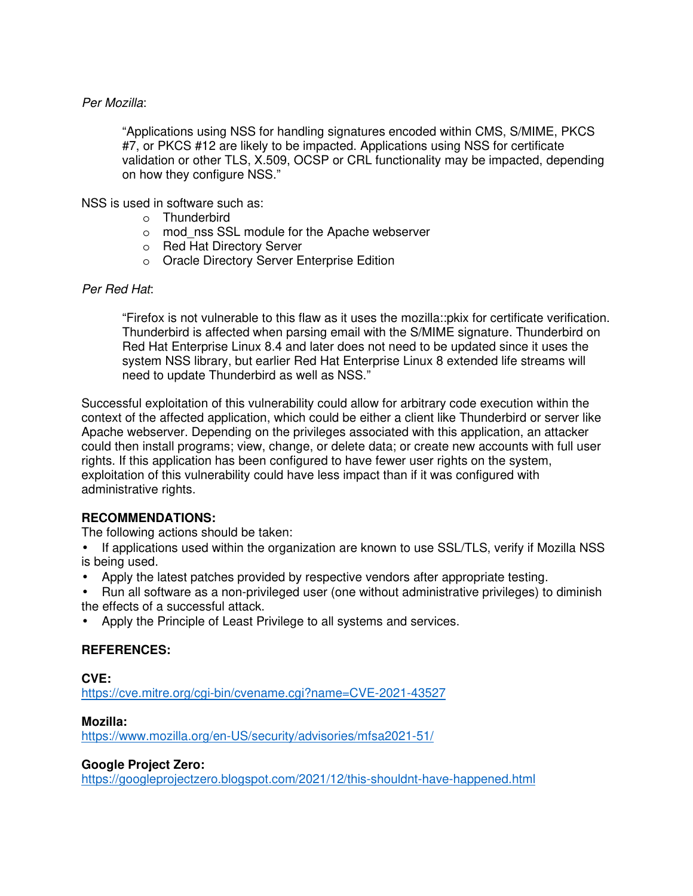## Per Mozilla:

"Applications using NSS for handling signatures encoded within CMS, S/MIME, PKCS #7, or PKCS #12 are likely to be impacted. Applications using NSS for certificate validation or other TLS, X.509, OCSP or CRL functionality may be impacted, depending on how they configure NSS."

NSS is used in software such as:

- o Thunderbird
- o mod\_nss SSL module for the Apache webserver
- o Red Hat Directory Server
- o Oracle Directory Server Enterprise Edition

## Per Red Hat:

"Firefox is not vulnerable to this flaw as it uses the mozilla::pkix for certificate verification. Thunderbird is affected when parsing email with the S/MIME signature. Thunderbird on Red Hat Enterprise Linux 8.4 and later does not need to be updated since it uses the system NSS library, but earlier Red Hat Enterprise Linux 8 extended life streams will need to update Thunderbird as well as NSS."

Successful exploitation of this vulnerability could allow for arbitrary code execution within the context of the affected application, which could be either a client like Thunderbird or server like Apache webserver. Depending on the privileges associated with this application, an attacker could then install programs; view, change, or delete data; or create new accounts with full user rights. If this application has been configured to have fewer user rights on the system, exploitation of this vulnerability could have less impact than if it was configured with administrative rights.

# **RECOMMENDATIONS:**

The following actions should be taken:

- If applications used within the organization are known to use SSL/TLS, verify if Mozilla NSS is being used.
- Apply the latest patches provided by respective vendors after appropriate testing.
- Run all software as a non-privileged user (one without administrative privileges) to diminish the effects of a successful attack.
- Apply the Principle of Least Privilege to all systems and services.

# **REFERENCES:**

**CVE:** https://cve.mitre.org/cgi-bin/cvename.cgi?name=CVE-2021-43527

## **Mozilla:**

https://www.mozilla.org/en-US/security/advisories/mfsa2021-51/

## **Google Project Zero:**

https://googleprojectzero.blogspot.com/2021/12/this-shouldnt-have-happened.html